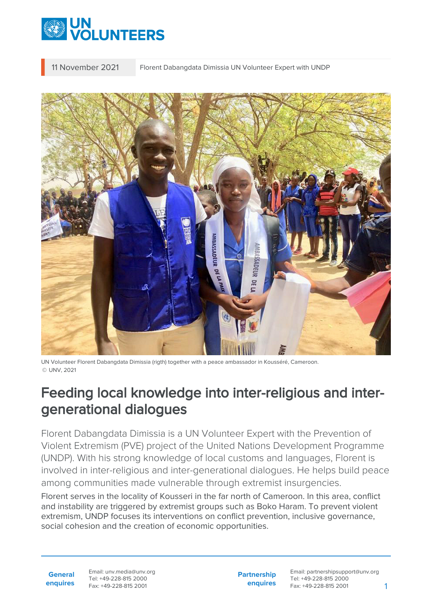

11 November 2021 Florent Dabangdata Dimissia UN Volunteer Expert with UNDP



UN Volunteer Florent Dabangdata Dimissia (rigth) together with a peace ambassador in Kousséré, Cameroon. © UNV, 2021

## Feeding local knowledge into inter-religious and intergenerational dialogues

Florent Dabangdata Dimissia is a UN Volunteer Expert with the Prevention of Violent Extremism (PVE) project of the United Nations Development Programme (UNDP). With his strong knowledge of local customs and languages, Florent is involved in inter-religious and inter-generational dialogues. He helps build peace among communities made vulnerable through extremist insurgencies.

Florent serves in the locality of Kousseri in the far north of Cameroon. In this area, conflict and instability are triggered by extremist groups such as Boko Haram. To prevent violent extremism, UNDP focuses its interventions on conflict prevention, inclusive governance, social cohesion and the creation of economic opportunities.

**General enquires** Email: unv.media@unv.org Tel: +49-228-815 2000 Fax: +49-228-815 2001

**Partnership enquires** Email: partnershipsupport@unv.org Tel: +49-228-815 2000 Fax: +49-228-815 2001 1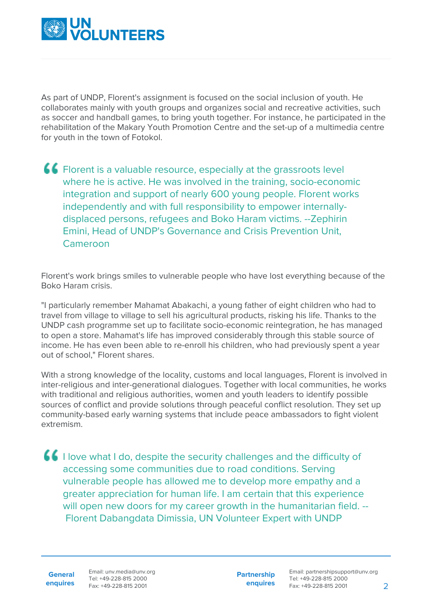

As part of UNDP, Florent's assignment is focused on the social inclusion of youth. He collaborates mainly with youth groups and organizes social and recreative activities, such as soccer and handball games, to bring youth together. For instance, he participated in the rehabilitation of the Makary Youth Promotion Centre and the set-up of a multimedia centre for youth in the town of Fotokol.

Florent is a valuable resource, especially at the grassroots level where he is active. He was involved in the training, socio-economic integration and support of nearly 600 young people. Florent works independently and with full responsibility to empower internallydisplaced persons, refugees and Boko Haram victims. --Zephirin Emini, Head of UNDP's Governance and Crisis Prevention Unit, Cameroon

Florent's work brings smiles to vulnerable people who have lost everything because of the Boko Haram crisis.

"I particularly remember Mahamat Abakachi, a young father of eight children who had to travel from village to village to sell his agricultural products, risking his life. Thanks to the UNDP cash programme set up to facilitate socio-economic reintegration, he has managed to open a store. Mahamat's life has improved considerably through this stable source of income. He has even been able to re-enroll his children, who had previously spent a year out of school," Florent shares.

With a strong knowledge of the locality, customs and local languages, Florent is involved in inter-religious and inter-generational dialogues. Together with local communities, he works with traditional and religious authorities, women and youth leaders to identify possible sources of conflict and provide solutions through peaceful conflict resolution. They set up community-based early warning systems that include peace ambassadors to fight violent extremism.

**I** love what I do, despite the security challenges and the difficulty of accessing some communities due to road conditions. Serving vulnerable people has allowed me to develop more empathy and a greater appreciation for human life. I am certain that this experience will open new doors for my career growth in the humanitarian field. --Florent Dabangdata Dimissia, UN Volunteer Expert with UNDP

**General enquires** Email: unv.media@unv.org Tel: +49-228-815 2000 Fax: +49-228-815 2001

**Partnership enquires**

Email: partnershipsupport@unv.org Tel: +49-228-815 2000 Fax: +49-228-815 2001 2